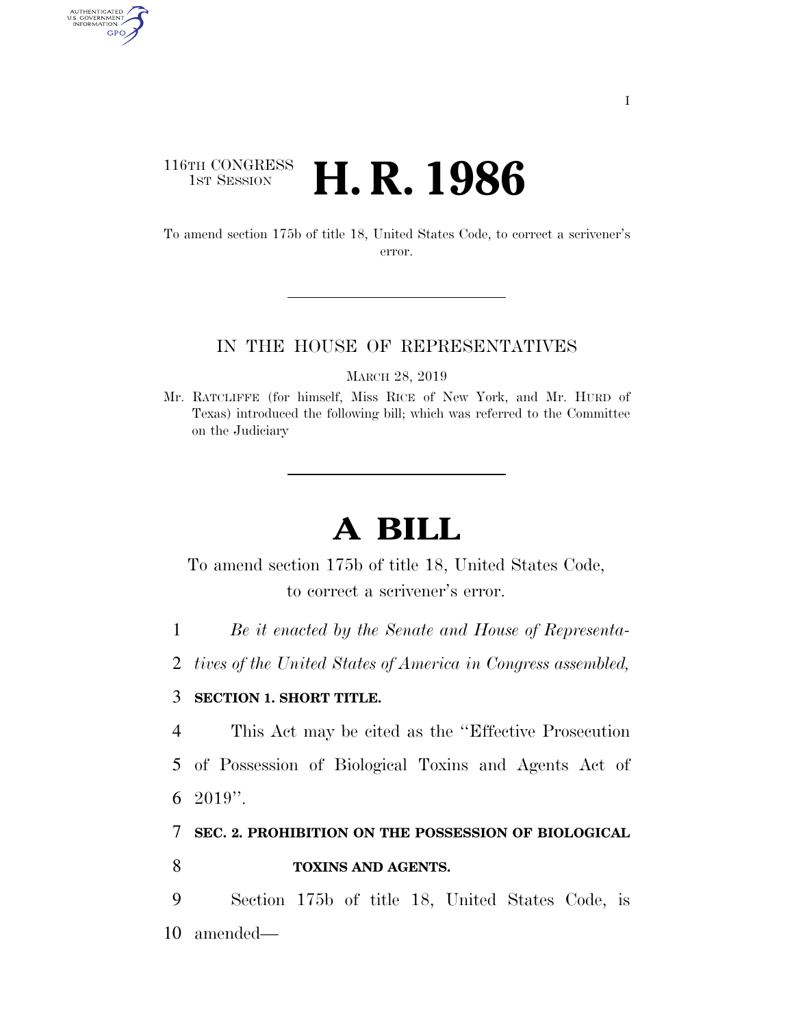## 116TH CONGRESS **1st Session H. R. 1986**

AUTHENTICATED<br>U.S. GOVERNMENT<br>INFORMATION GPO

> To amend section 175b of title 18, United States Code, to correct a scrivener's error.

#### IN THE HOUSE OF REPRESENTATIVES

MARCH 28, 2019

Mr. RATCLIFFE (for himself, Miss RICE of New York, and Mr. HURD of Texas) introduced the following bill; which was referred to the Committee on the Judiciary

# **A BILL**

To amend section 175b of title 18, United States Code, to correct a scrivener's error.

1 *Be it enacted by the Senate and House of Representa-*

2 *tives of the United States of America in Congress assembled,* 

### 3 **SECTION 1. SHORT TITLE.**

4 This Act may be cited as the ''Effective Prosecution

5 of Possession of Biological Toxins and Agents Act of 6 2019''.

7 **SEC. 2. PROHIBITION ON THE POSSESSION OF BIOLOGICAL** 

### 8 **TOXINS AND AGENTS.**

9 Section 175b of title 18, United States Code, is 10 amended—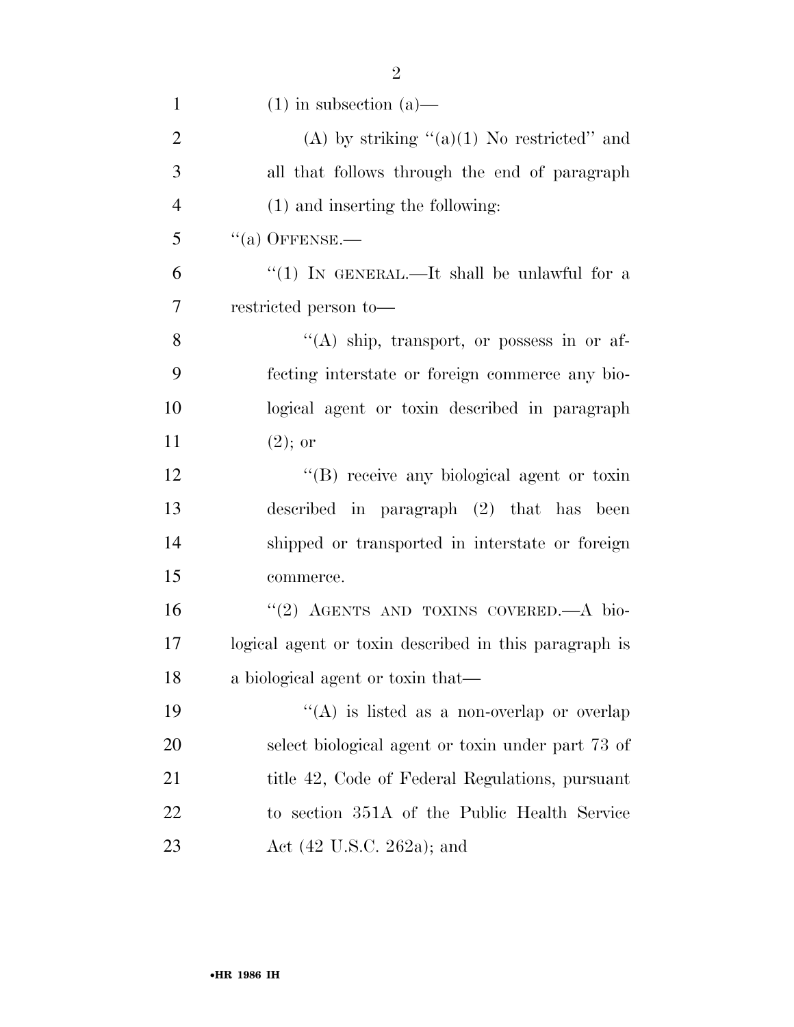| $\mathbf{1}$   | $(1)$ in subsection $(a)$ —                           |
|----------------|-------------------------------------------------------|
| $\overline{2}$ | (A) by striking $(2)(1)$ No restricted" and           |
| 3              | all that follows through the end of paragraph         |
| $\overline{4}$ | (1) and inserting the following:                      |
| 5              | $``(a)$ OFFENSE.—                                     |
| 6              | "(1) IN GENERAL.—It shall be unlawful for a           |
| 7              | restricted person to-                                 |
| 8              | $\lq\lq(A)$ ship, transport, or possess in or af-     |
| 9              | fecting interstate or foreign commerce any bio-       |
| 10             | logical agent or toxin described in paragraph         |
| 11             | $(2)$ ; or                                            |
| 12             | "(B) receive any biological agent or toxin            |
| 13             | described in paragraph $(2)$ that has been            |
| 14             | shipped or transported in interstate or foreign       |
| 15             | commerce.                                             |
| 16             | "(2) AGENTS AND TOXINS COVERED.—A bio-                |
| 17             | logical agent or toxin described in this paragraph is |
| 18             | a biological agent or toxin that—                     |
| 19             | "(A) is listed as a non-overlap or overlap            |
| 20             | select biological agent or toxin under part 73 of     |
| 21             | title 42, Code of Federal Regulations, pursuant       |
| 22             | to section 351A of the Public Health Service          |
| 23             | Act $(42 \text{ U.S.C. } 262a)$ ; and                 |